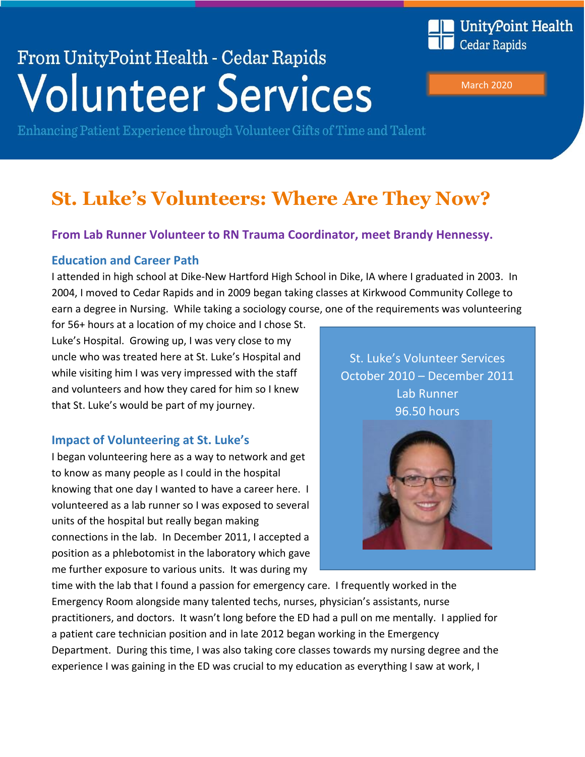# From UnityPoint Health - Cedar Rapids **Volunteer Services**



March 2020

Enhancing Patient Experience through Volunteer Gifts of Time and Talent

# **St. Luke's Volunteers: Where Are They Now?**

### **From Lab Runner Volunteer to RN Trauma Coordinator, meet Brandy Hennessy.**

#### **Education and Career Path**

I attended in high school at Dike-New Hartford High School in Dike, IA where I graduated in 2003. In 2004, I moved to Cedar Rapids and in 2009 began taking classes at Kirkwood Community College to earn a degree in Nursing. While taking a sociology course, one of the requirements was volunteering

for 56+ hours at a location of my choice and I chose St. Luke's Hospital. Growing up, I was very close to my uncle who was treated here at St. Luke's Hospital and while visiting him I was very impressed with the staff and volunteers and how they cared for him so I knew that St. Luke's would be part of my journey.

#### **Impact of Volunteering at St. Luke's**

I began volunteering here as a way to network and get to know as many people as I could in the hospital knowing that one day I wanted to have a career here. I volunteered as a lab runner so I was exposed to several units of the hospital but really began making connections in the lab. In December 2011, I accepted a position as a phlebotomist in the laboratory which gave me further exposure to various units. It was during my

St. Luke's Volunteer Services October 2010 – December 2011 Lab Runner 96.50 hours



time with the lab that I found a passion for emergency care. I frequently worked in the Emergency Room alongside many talented techs, nurses, physician's assistants, nurse practitioners, and doctors. It wasn't long before the ED had a pull on me mentally. I applied for a patient care technician position and in late 2012 began working in the Emergency Department. During this time, I was also taking core classes towards my nursing degree and the experience I was gaining in the ED was crucial to my education as everything I saw at work, I